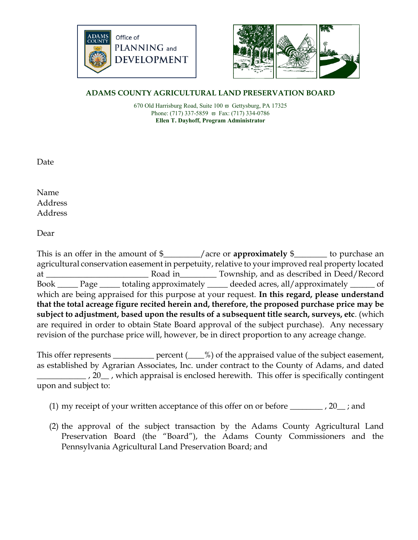



## **ADAMS COUNTY AGRICULTURAL LAND PRESERVATION BOARD**

670 Old Harrisburg Road, Suite  $100 \text{ }\overline{\omega}$  Gettysburg, PA 17325 Phone: (717) 337-5859  $\overline{\omega}$  Fax: (717) 334-0786 **Ellen T. Dayhoff, Program Administrator**

Date

Name Address Address

Dear

This is an offer in the amount of \$\_\_\_\_\_\_\_\_\_/acre or **approximately** \$\_\_\_\_\_\_\_\_ to purchase an agricultural conservation easement in perpetuity, relative to your improved real property located at \_\_\_\_\_\_\_\_\_\_\_\_\_\_\_\_\_\_\_\_\_\_\_\_\_ Road in\_\_\_\_\_\_\_\_\_ Township, and as described in Deed/Record Book \_\_\_\_\_ Page \_\_\_\_\_ totaling approximately \_\_\_\_\_ deeded acres, all/approximately \_\_\_\_\_\_ of which are being appraised for this purpose at your request. **In this regard, please understand that the total acreage figure recited herein and, therefore, the proposed purchase price may be subject to adjustment, based upon the results of a subsequent title search, surveys, etc**. (which are required in order to obtain State Board approval of the subject purchase). Any necessary revision of the purchase price will, however, be in direct proportion to any acreage change.

This offer represents \_\_\_\_\_\_\_\_\_\_ percent (\_\_\_%) of the appraised value of the subject easement, as established by Agrarian Associates, Inc. under contract to the County of Adams, and dated \_\_\_\_\_\_\_\_\_\_\_\_ , 20\_\_ , which appraisal is enclosed herewith. This offer is specifically contingent upon and subject to:

- (1) my receipt of your written acceptance of this offer on or before  $\_\_\_\_$ , 20,  $\_\$ ; and
- (2) the approval of the subject transaction by the Adams County Agricultural Land Preservation Board (the "Board"), the Adams County Commissioners and the Pennsylvania Agricultural Land Preservation Board; and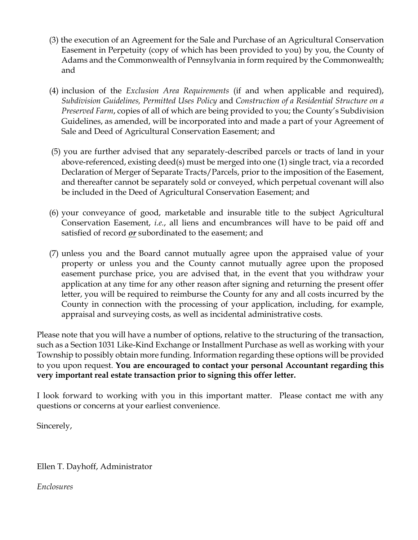- (3) the execution of an Agreement for the Sale and Purchase of an Agricultural Conservation Easement in Perpetuity (copy of which has been provided to you) by you, the County of Adams and the Commonwealth of Pennsylvania in form required by the Commonwealth; and
- (4) inclusion of the *Exclusion Area Requirements* (if and when applicable and required), *Subdivision Guidelines, Permitted Uses Policy* and *Construction of a Residential Structure on a Preserved Farm*, copies of all of which are being provided to you; the County's Subdivision Guidelines, as amended, will be incorporated into and made a part of your Agreement of Sale and Deed of Agricultural Conservation Easement; and
- (5) you are further advised that any separately-described parcels or tracts of land in your above-referenced, existing deed(s) must be merged into one (1) single tract, via a recorded Declaration of Merger of Separate Tracts/Parcels, prior to the imposition of the Easement, and thereafter cannot be separately sold or conveyed, which perpetual covenant will also be included in the Deed of Agricultural Conservation Easement; and
- (6) your conveyance of good, marketable and insurable title to the subject Agricultural Conservation Easement, *i.e.*, all liens and encumbrances will have to be paid off and satisfied of record *or* subordinated to the easement; and
- (7) unless you and the Board cannot mutually agree upon the appraised value of your property or unless you and the County cannot mutually agree upon the proposed easement purchase price, you are advised that, in the event that you withdraw your application at any time for any other reason after signing and returning the present offer letter, you will be required to reimburse the County for any and all costs incurred by the County in connection with the processing of your application, including, for example, appraisal and surveying costs, as well as incidental administrative costs.

Please note that you will have a number of options, relative to the structuring of the transaction, such as a Section 1031 Like-Kind Exchange or Installment Purchase as well as working with your Township to possibly obtain more funding. Information regarding these options will be provided to you upon request. **You are encouraged to contact your personal Accountant regarding this very important real estate transaction prior to signing this offer letter.**

I look forward to working with you in this important matter. Please contact me with any questions or concerns at your earliest convenience.

Sincerely,

Ellen T. Dayhoff, Administrator

*Enclosures*